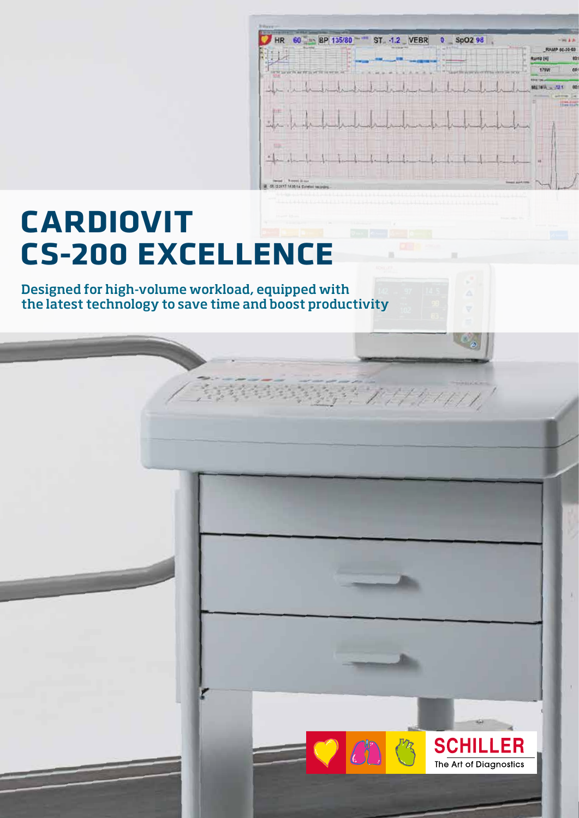## **CARDIOVIT CS-200 EXCELLENCE**

**MF 1**

Designed for high-volume workload, equipped with the latest technology to save time and boost productivity

 $\frac{1}{2}$  ,  $\frac{1}{2}$  ,  $\frac{1}{2}$ 

HR 60 1 BP 135/80

 $\frac{1}{2}$   $\frac{1}{2}$ 

ST. - 1.2 VEBR

 $0$  SpO2 98

Ramp (4)

**METALL** 

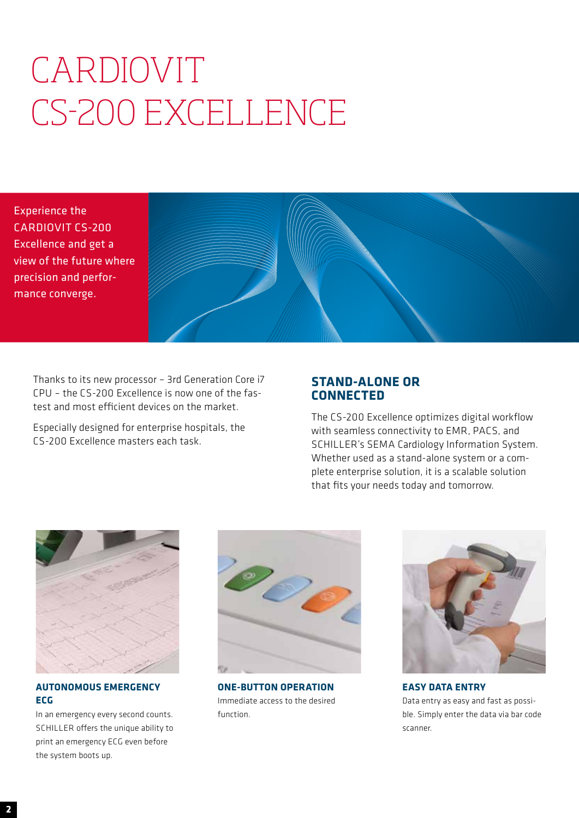## CARDIOVIT CS-200 EXCELLENCE

Experience the CARDIOVIT CS-200 Excellence and get a view of the future where precision and performance converge.



Thanks to its new processor – 3rd Generation Core i7 CPU – the CS-200 Excellence is now one of the fastest and most efficient devices on the market.

Especially designed for enterprise hospitals, the CS-200 Excellence masters each task.

## **STAND-ALONE OR CONNECTED**

The CS-200 Excellence optimizes digital workflow with seamless connectivity to EMR, PACS, and SCHILLER's SEMA Cardiology Information System. Whether used as a stand-alone system or a complete enterprise solution, it is a scalable solution that fits your needs today and tomorrow.



**AUTONOMOUS EMERGENCY ECG**

In an emergency every second counts. SCHILLER offers the unique ability to print an emergency ECG even before the system boots up.



**ONE-BUTTON OPERATION** Immediate access to the desired function.



**EASY DATA ENTRY** Data entry as easy and fast as possible. Simply enter the data via bar code scanner.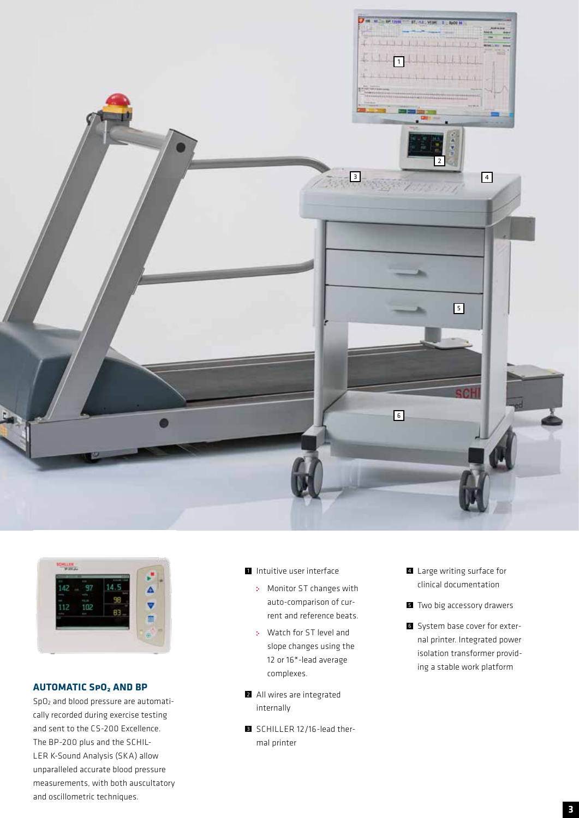



## **AUTOMATIC SpO2 AND BP**

SpO2 and blood pressure are automatically recorded during exercise testing and sent to the CS-200 Excellence. The BP-200 plus and the SCHIL-LER K-Sound Analysis (SKA) allow unparalleled accurate blood pressure measurements, with both auscultatory and oscillometric techniques.

- 1 Intuitive user interface
	- Monitor ST changes with auto-comparison of current and reference beats.
	- Watch for ST level and slope changes using the 12 or 16\*-lead average complexes.
- 2 All wires are integrated internally
- **3** SCHILLER 12/16-lead thermal printer
- 4 Large writing surface for clinical documentation
- **5** Two big accessory drawers
- **6** System base cover for external printer. Integrated power isolation transformer providing a stable work platform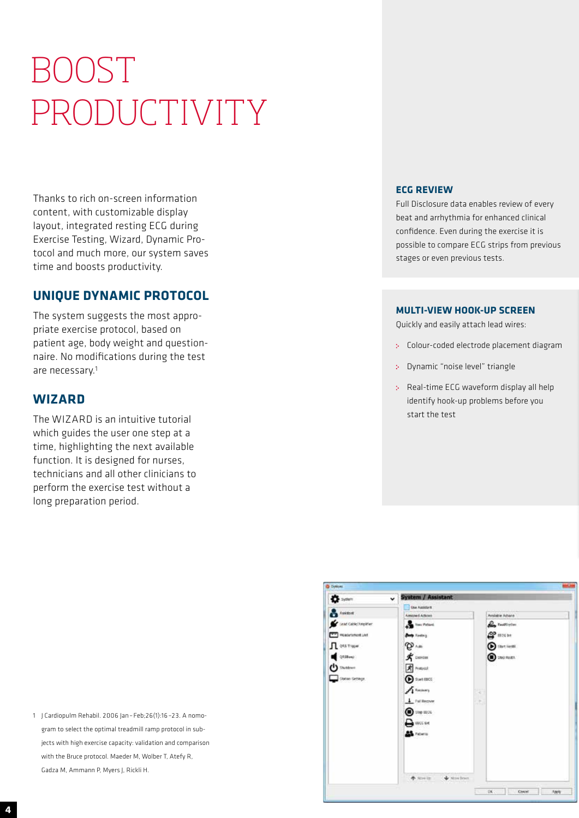# BOOST PRODUCTIVITY

Thanks to rich on-screen information content, with customizable display layout, integrated resting ECG during Exercise Testing, Wizard, Dynamic Protocol and much more, our system saves time and boosts productivity.

## **UNIQUE DYNAMIC PROTOCOL**

The system suggests the most appropriate exercise protocol, based on patient age, body weight and questionnaire. No modifications during the test are necessary.1

## **WIZARD**

The WIZARD is an intuitive tutorial which guides the user one step at a time, highlighting the next available function. It is designed for nurses, technicians and all other clinicians to perform the exercise test without a long preparation period.

## **ECG REVIEW** Full Disclosure data enables review of every

beat and arrhythmia for enhanced clinical confidence. Even during the exercise it is possible to compare ECG strips from previous stages or even previous tests.

## **MULTI-VIEW HOOK-UP SCREEN**

Quickly and easily attach lead wires:

- Colour-coded electrode placement diagram
- Dynamic "noise level" triangle
- Real-time ECG waveform display all help identify hook-up problems before you start the test



1 J Cardiopulm Rehabil. 2006 Jan – Feb;26(1):16 –23. A nomogram to select the optimal treadmill ramp protocol in subjects with high exercise capacity: validation and comparison with the Bruce protocol. Maeder M, Wolber T, Atefy R, Gadza M, Ammann P, Myers J, Rickli H.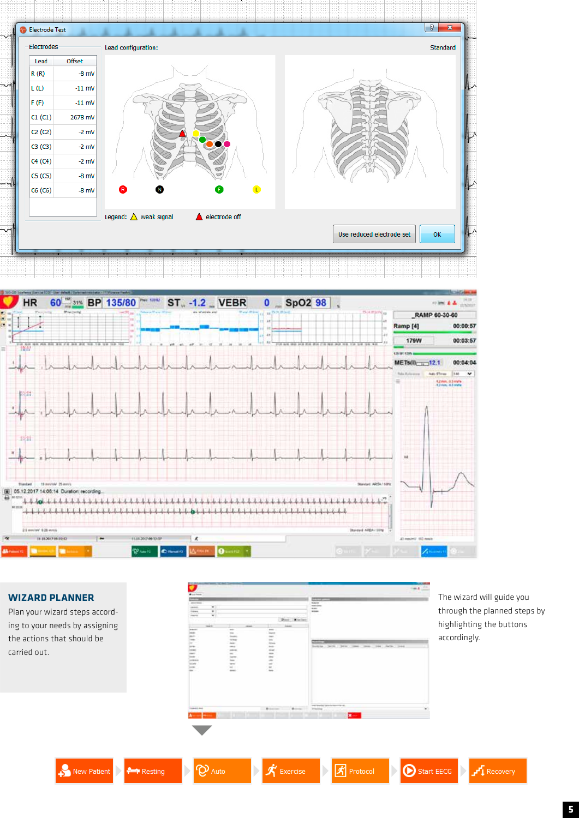



## **WIZARD PLANNER**

Plan your wizard steps according to your needs by assigning the actions that should be carried out.



The wizard will guide you through the planned steps by highlighting the buttons accordingly.







 $\mathbb{D}$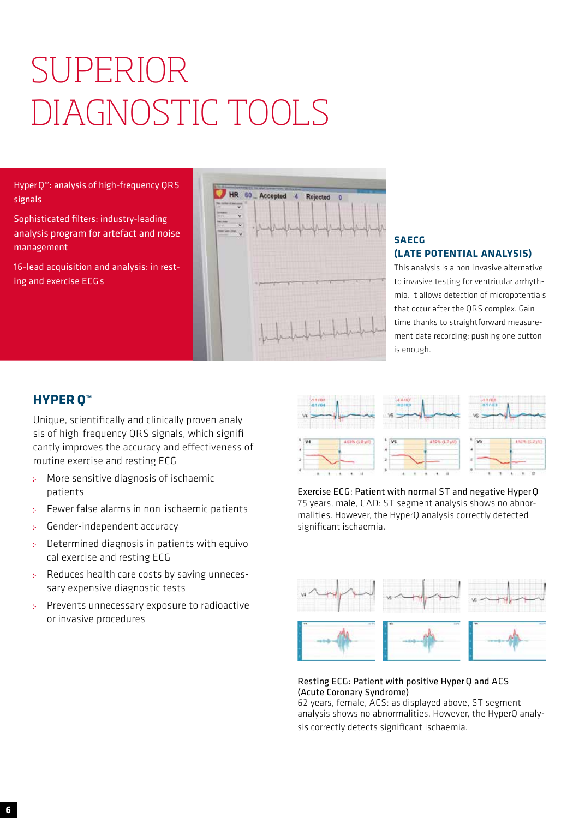# SUPERIOR DIAGNOSTIC TOOLS

HyperQ™: analysis of high-frequency QRS signals

Sophisticated filters: industry-leading analysis program for artefact and noise management

16-lead acquisition and analysis: in resting and exercise ECG s



## **SAECG (LATE POTENTIAL ANALYSIS)**

This analysis is a non-invasive alternative to invasive testing for ventricular arrhythmia. It allows detection of micropotentials that occur after the QRS complex. Gain time thanks to straightforward measurement data recording; pushing one button is enough.

## **HYPER Q™**

Unique, scientifically and clinically proven analysis of high-frequency QRS signals, which significantly improves the accuracy and effectiveness of routine exercise and resting ECG

- More sensitive diagnosis of ischaemic š. patients
- Fewer false alarms in non-ischaemic patients s.
- Gender-independent accuracy Š.
- Determined diagnosis in patients with equivo- $\Lambda$ cal exercise and resting ECG
- Reduces health care costs by saving unneces- $\mathcal{D}^{\mathcal{A}}$ sary expensive diagnostic tests
- Prevents unnecessary exposure to radioactive or invasive procedures



Exercise ECG: Patient with normal ST and negative HyperQ 75 years, male, CAD: ST segment analysis shows no abnormalities. However, the HyperQ analysis correctly detected significant ischaemia.



## Resting ECG: Patient with positive HyperQ and ACS (Acute Coronary Syndrome)

62 years, female, ACS: as displayed above, ST segment analysis shows no abnormalities. However, the HyperQ analysis correctly detects significant ischaemia.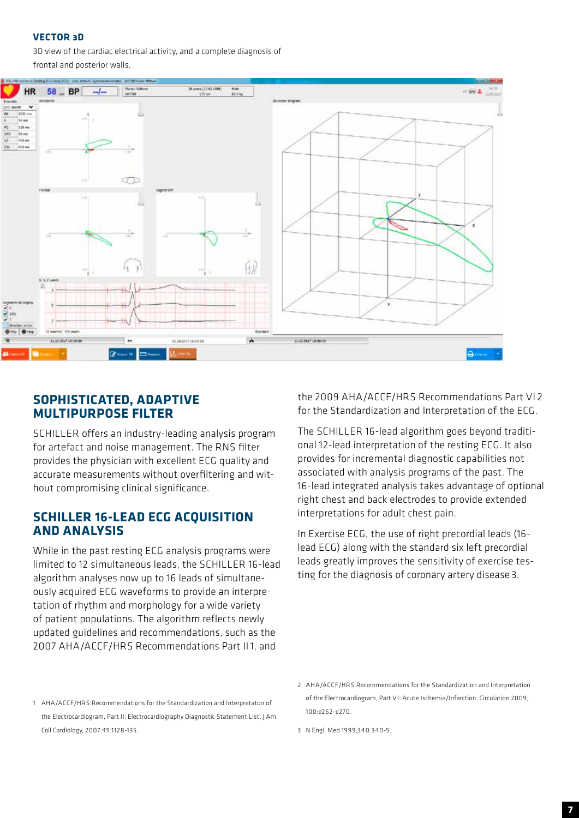## **VECTOR 3D**

3D view of the cardiac electrical activity, and a complete diagnosis of frontal and posterior walls.



## **SOPHISTICATED, ADAPTIVE MULTIPURPOSE FILTER**

SCHILLER offers an industry-leading analysis program for artefact and noise management. The RNS filter provides the physician with excellent ECG quality and accurate measurements without overfiltering and without compromising clinical significance.

## **SCHILLER 16-LEAD ECG ACQUISITION AND ANALYSIS**

While in the past resting ECG analysis programs were limited to 12 simultaneous leads, the SCHILLER 16-lead algorithm analyses now up to 16 leads of simultaneously acquired ECG waveforms to provide an interpretation of rhythm and morphology for a wide variety of patient populations. The algorithm reflects newly updated guidelines and recommendations, such as the 2007 AHA/ACCF/HRS Recommendations Part II1, and

the 2009 AHA/ACCF/HRS Recommendations Part VI 2 for the Standardization and Interpretation of the ECG.

The SCHILLER 16-lead algorithm goes beyond traditional 12-lead interpretation of the resting ECG. It also provides for incremental diagnostic capabilities not associated with analysis programs of the past. The 16-lead integrated analysis takes advantage of optional right chest and back electrodes to provide extended interpretations for adult chest pain.

In Exercise ECG, the use of right precordial leads (16 lead ECG) along with the standard six left precordial leads greatly improves the sensitivity of exercise testing for the diagnosis of coronary artery disease 3.

<sup>1</sup> AHA/ACCF/HRS Recommendations for the Standardization and Interpretaton of the Electrocardiogram, Part II: Electrocardiography Diagnostic Statement List. J Am Coll Cardiology, 2007:49:1128-135.

<sup>2</sup> AHA/ACCF/HRS Recommendations for the Standardization and Interpretation of the Electrocardiogram, Part VI: Acute Ischemia/Infarction. Circulation 2009; 100:e262-e270.

<sup>3</sup> N Engl. Med 1999;340:340-5.